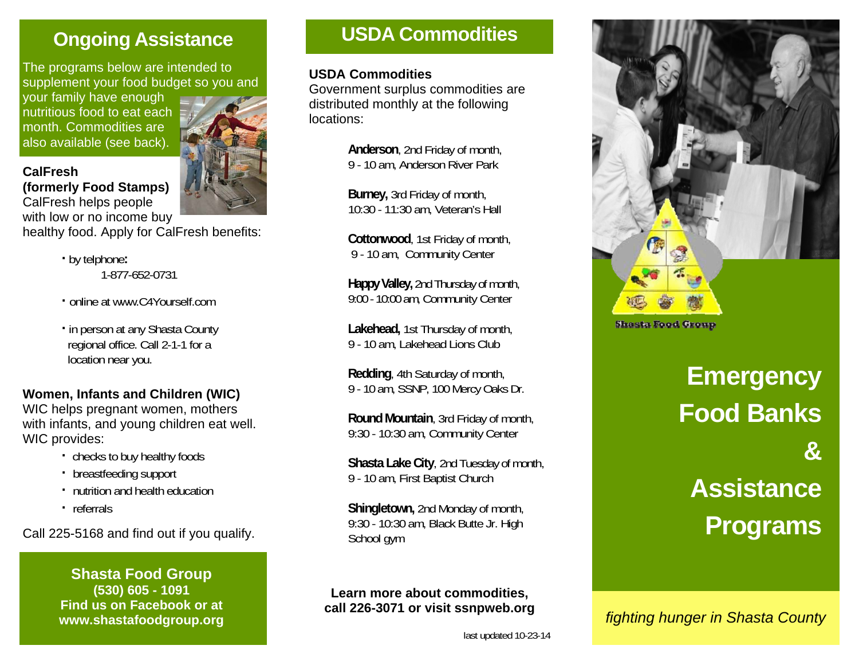# **Ongoing Assistance**

The programs below are intended to supplement your food budget so you and

your family have enough nutritious food to eat each month. Commodities are also available (see back).

**(formerly Food Stamps)** 

**CalFresh** 



CalFresh helps people with low or no income buy

healthy food. Apply for CalFresh benefits:

- **·** by telphone**:**  1-877-652-0731
- **·** online at www.C4Yourself.com
- **·** in person at any Shasta County regional office. Call 2-1-1 for a location near you.

### **Women, Infants and Children (WIC)**

WIC helps pregnant women, mothers with infants, and young children eat well. WIC provides:

- **·** checks to buy healthy foods
- **·** breastfeeding support
- **·** nutrition and health education
- **·** referrals

Call 225-5168 and find out if you qualify.

#### **Shasta Food Group (530) 605 - 1091 Find us on Facebook or at www.shastafoodgroup.org**

## **USDA Commodities**

#### **USDA Commodities**

Government surplus commodities are distributed monthly at the following locations:

> **Anderson**, 2nd Friday of month, 9 - 10 am, Anderson River Park

**Burney,** 3rd Friday of month, 10:30 - 11:30 am, Veteran's Hall

 **Cottonwood**, 1st Friday of month, 9 - 10 am, Community Center

 **Happy Valley,** 2nd Thursday of month, 9:00 - 10:00 am, Community Center

 **Lakehead,** 1st Thursday of month, 9 - 10 am, Lakehead Lions Club

 **Redding**, 4th Saturday of month, 9 - 10 am, SSNP, 100 Mercy Oaks Dr.

 **Round Mountain**, 3rd Friday of month, 9:30 - 10:30 am, Community Center

 **Shasta Lake City**, 2nd Tuesday of month, 9 - 10 am, First Baptist Church

 **Shingletown,** 2nd Monday of month, 9:30 - 10:30 am, Black Butte Jr. High School gym

#### **Learn more about commodities, call 226-3071 or visit ssnpweb.org**



# **Emergency Food Banks & Assistance Programs**

*fighting hunger in Shasta County*